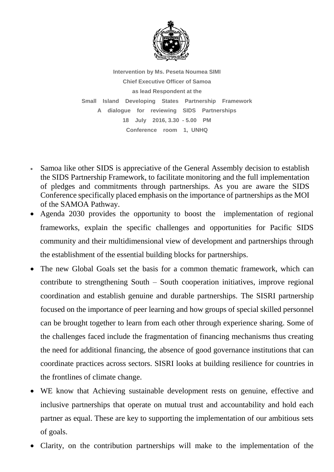

**Intervention by Ms. Peseta Noumea SIMI Chief Executive Officer of Samoa as lead Respondent at the Small Island Developing States Partnership Framework A dialogue for reviewing SIDS Partnerships 18 July 2016, 3.30 - 5.00 PM Conference room 1, UNHQ**

- Samoa like other SIDS is appreciative of the General Assembly decision to establish the SIDS Partnership Framework, to facilitate monitoring and the full implementation of pledges and commitments through partnerships. As you are aware the SIDS Conference specifically placed emphasis on the importance of partnerships as the MOI of the SAMOA Pathway.
- Agenda 2030 provides the opportunity to boost the implementation of regional frameworks, explain the specific challenges and opportunities for Pacific SIDS community and their multidimensional view of development and partnerships through the establishment of the essential building blocks for partnerships.
- The new Global Goals set the basis for a common thematic framework, which can contribute to strengthening South – South cooperation initiatives, improve regional coordination and establish genuine and durable partnerships. The SISRI partnership focused on the importance of peer learning and how groups of special skilled personnel can be brought together to learn from each other through experience sharing. Some of the challenges faced include the fragmentation of financing mechanisms thus creating the need for additional financing, the absence of good governance institutions that can coordinate practices across sectors. SISRI looks at building resilience for countries in the frontlines of climate change.
- WE know that Achieving sustainable development rests on genuine, effective and inclusive partnerships that operate on mutual trust and accountability and hold each partner as equal. These are key to supporting the implementation of our ambitious sets of goals.
- Clarity, on the contribution partnerships will make to the implementation of the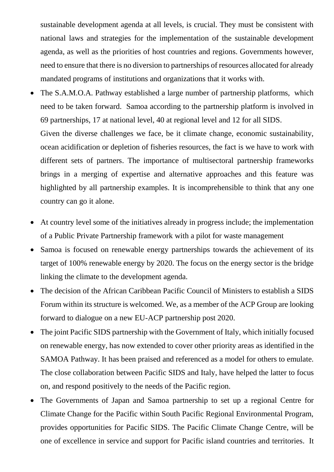sustainable development agenda at all levels, is crucial. They must be consistent with national laws and strategies for the implementation of the sustainable development agenda, as well as the priorities of host countries and regions. Governments however, need to ensure that there is no diversion to partnerships of resources allocated for already mandated programs of institutions and organizations that it works with.

- The S.A.M.O.A. Pathway established a large number of partnership platforms, which need to be taken forward. Samoa according to the partnership platform is involved in 69 partnerships, 17 at national level, 40 at regional level and 12 for all SIDS. Given the diverse challenges we face, be it climate change, economic sustainability, ocean acidification or depletion of fisheries resources, the fact is we have to work with different sets of partners. The importance of multisectoral partnership frameworks brings in a merging of expertise and alternative approaches and this feature was highlighted by all partnership examples. It is incomprehensible to think that any one country can go it alone.
- At country level some of the initiatives already in progress include; the implementation of a Public Private Partnership framework with a pilot for waste management
- Samoa is focused on renewable energy partnerships towards the achievement of its target of 100% renewable energy by 2020. The focus on the energy sector is the bridge linking the climate to the development agenda.
- The decision of the African Caribbean Pacific Council of Ministers to establish a SIDS Forum within its structure is welcomed. We, as a member of the ACP Group are looking forward to dialogue on a new EU-ACP partnership post 2020.
- The joint Pacific SIDS partnership with the Government of Italy, which initially focused on renewable energy, has now extended to cover other priority areas as identified in the SAMOA Pathway. It has been praised and referenced as a model for others to emulate. The close collaboration between Pacific SIDS and Italy, have helped the latter to focus on, and respond positively to the needs of the Pacific region.
- The Governments of Japan and Samoa partnership to set up a regional Centre for Climate Change for the Pacific within South Pacific Regional Environmental Program, provides opportunities for Pacific SIDS. The Pacific Climate Change Centre, will be one of excellence in service and support for Pacific island countries and territories. It